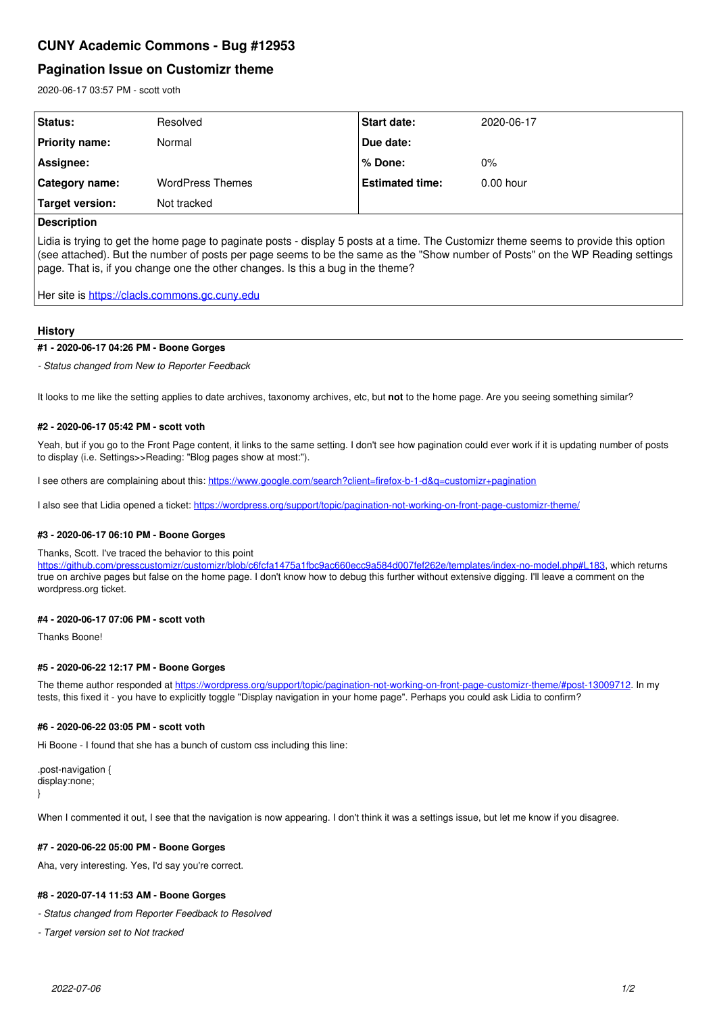# **CUNY Academic Commons - Bug #12953**

# **Pagination Issue on Customizr theme**

2020-06-17 03:57 PM - scott voth

| Status:         | Resolved                | <b>Start date:</b>     | 2020-06-17  |
|-----------------|-------------------------|------------------------|-------------|
| Priority name:  | Normal                  | Due date:              |             |
| Assignee:       |                         | l % Done:              | $0\%$       |
| Category name:  | <b>WordPress Themes</b> | <b>Estimated time:</b> | $0.00$ hour |
| Target version: | Not tracked             |                        |             |
|                 |                         |                        |             |

## **Description**

Lidia is trying to get the home page to paginate posts - display 5 posts at a time. The Customizr theme seems to provide this option (see attached). But the number of posts per page seems to be the same as the "Show number of Posts" on the WP Reading settings page. That is, if you change one the other changes. Is this a bug in the theme?

Her site is <https://clacls.commons.gc.cuny.edu>

## **History**

### **#1 - 2020-06-17 04:26 PM - Boone Gorges**

*- Status changed from New to Reporter Feedback*

It looks to me like the setting applies to date archives, taxonomy archives, etc, but **not** to the home page. Are you seeing something similar?

#### **#2 - 2020-06-17 05:42 PM - scott voth**

Yeah, but if you go to the Front Page content, it links to the same setting. I don't see how pagination could ever work if it is updating number of posts to display (i.e. Settings>>Reading: "Blog pages show at most:").

I see others are complaining about this:<https://www.google.com/search?client=firefox-b-1-d&q=customizr+pagination>

I also see that Lidia opened a ticket:<https://wordpress.org/support/topic/pagination-not-working-on-front-page-customizr-theme/>

## **#3 - 2020-06-17 06:10 PM - Boone Gorges**

#### Thanks, Scott. I've traced the behavior to this point

[https://github.com/presscustomizr/customizr/blob/c6fcfa1475a1fbc9ac660ecc9a584d007fef262e/templates/index-no-model.php#L183,](https://github.com/presscustomizr/customizr/blob/c6fcfa1475a1fbc9ac660ecc9a584d007fef262e/templates/index-no-model.php#L183) which returns true on archive pages but false on the home page. I don't know how to debug this further without extensive digging. I'll leave a comment on the wordpress.org ticket.

## **#4 - 2020-06-17 07:06 PM - scott voth**

Thanks Boone!

## **#5 - 2020-06-22 12:17 PM - Boone Gorges**

The theme author responded at [https://wordpress.org/support/topic/pagination-not-working-on-front-page-customizr-theme/#post-13009712.](https://wordpress.org/support/topic/pagination-not-working-on-front-page-customizr-theme/#post-13009712) In my tests, this fixed it - you have to explicitly toggle "Display navigation in your home page". Perhaps you could ask Lidia to confirm?

#### **#6 - 2020-06-22 03:05 PM - scott voth**

Hi Boone - I found that she has a bunch of custom css including this line:

.post-navigation { display:none;

}

When I commented it out, I see that the navigation is now appearing. I don't think it was a settings issue, but let me know if you disagree.

## **#7 - 2020-06-22 05:00 PM - Boone Gorges**

Aha, very interesting. Yes, I'd say you're correct.

## **#8 - 2020-07-14 11:53 AM - Boone Gorges**

*- Status changed from Reporter Feedback to Resolved*

*- Target version set to Not tracked*